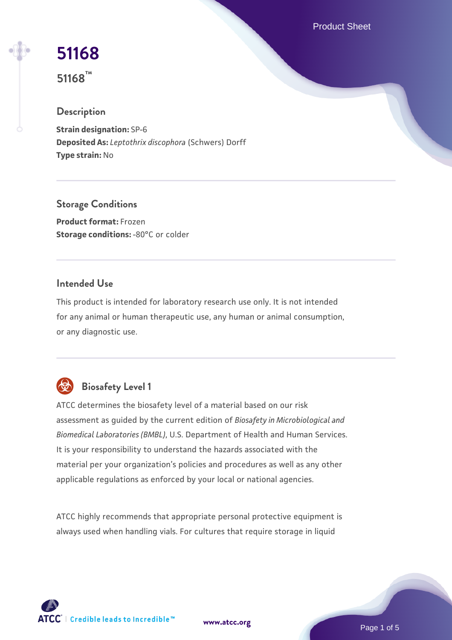Product Sheet

# **[51168](https://www.atcc.org/products/51168)**

**51168™**

# **Description**

**Strain designation:** SP-6 **Deposited As:** *Leptothrix discophora* (Schwers) Dorff **Type strain:** No

**Storage Conditions Product format:** Frozen **Storage conditions: -80°C or colder** 

#### **Intended Use**

This product is intended for laboratory research use only. It is not intended for any animal or human therapeutic use, any human or animal consumption, or any diagnostic use.

# **Biosafety Level 1**

ATCC determines the biosafety level of a material based on our risk assessment as guided by the current edition of *Biosafety in Microbiological and Biomedical Laboratories (BMBL)*, U.S. Department of Health and Human Services. It is your responsibility to understand the hazards associated with the material per your organization's policies and procedures as well as any other applicable regulations as enforced by your local or national agencies.

ATCC highly recommends that appropriate personal protective equipment is always used when handling vials. For cultures that require storage in liquid



**[www.atcc.org](http://www.atcc.org)**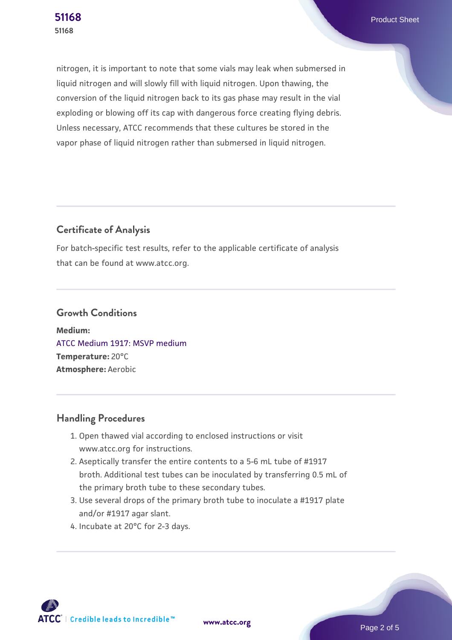nitrogen, it is important to note that some vials may leak when submersed in liquid nitrogen and will slowly fill with liquid nitrogen. Upon thawing, the conversion of the liquid nitrogen back to its gas phase may result in the vial exploding or blowing off its cap with dangerous force creating flying debris. Unless necessary, ATCC recommends that these cultures be stored in the vapor phase of liquid nitrogen rather than submersed in liquid nitrogen.

# **Certificate of Analysis**

For batch-specific test results, refer to the applicable certificate of analysis that can be found at www.atcc.org.

# **Growth Conditions**

**Medium:**  [ATCC Medium 1917: MSVP medium](https://www.atcc.org/-/media/product-assets/documents/microbial-media-formulations/atcc-medium-1917.pdf?rev=1ccda9a9d99f41ec908fa8bb87ae298b) **Temperature:** 20°C **Atmosphere:** Aerobic

# **Handling Procedures**

- 1. Open thawed vial according to enclosed instructions or visit www.atcc.org for instructions.
- 2. Aseptically transfer the entire contents to a 5-6 mL tube of #1917 broth. Additional test tubes can be inoculated by transferring 0.5 mL of the primary broth tube to these secondary tubes.
- 3. Use several drops of the primary broth tube to inoculate a #1917 plate and/or #1917 agar slant.
- 4. Incubate at 20°C for 2-3 days.

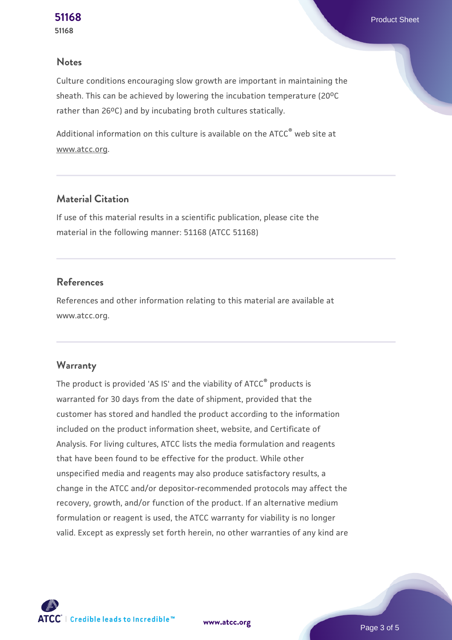#### **Notes**

Culture conditions encouraging slow growth are important in maintaining the sheath. This can be achieved by lowering the incubation temperature (20°C rather than 26°C) and by incubating broth cultures statically.

Additional information on this culture is available on the ATCC<sup>®</sup> web site at www.atcc.org.

# **Material Citation**

If use of this material results in a scientific publication, please cite the material in the following manner: 51168 (ATCC 51168)

#### **References**

References and other information relating to this material are available at www.atcc.org.

#### **Warranty**

The product is provided 'AS IS' and the viability of ATCC® products is warranted for 30 days from the date of shipment, provided that the customer has stored and handled the product according to the information included on the product information sheet, website, and Certificate of Analysis. For living cultures, ATCC lists the media formulation and reagents that have been found to be effective for the product. While other unspecified media and reagents may also produce satisfactory results, a change in the ATCC and/or depositor-recommended protocols may affect the recovery, growth, and/or function of the product. If an alternative medium formulation or reagent is used, the ATCC warranty for viability is no longer valid. Except as expressly set forth herein, no other warranties of any kind are



**[www.atcc.org](http://www.atcc.org)**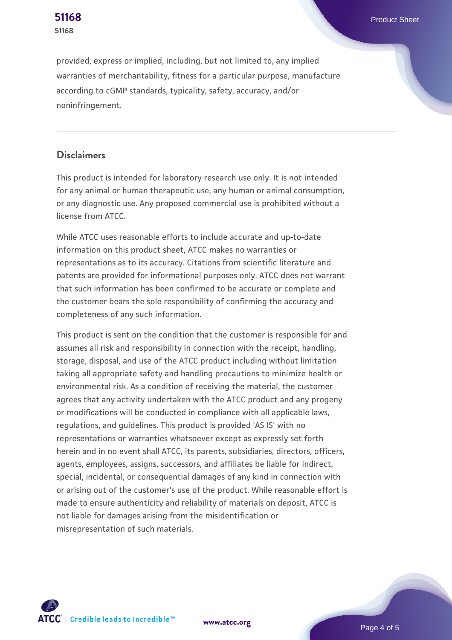provided, express or implied, including, but not limited to, any implied warranties of merchantability, fitness for a particular purpose, manufacture according to cGMP standards, typicality, safety, accuracy, and/or noninfringement.

#### **Disclaimers**

This product is intended for laboratory research use only. It is not intended for any animal or human therapeutic use, any human or animal consumption, or any diagnostic use. Any proposed commercial use is prohibited without a license from ATCC.

While ATCC uses reasonable efforts to include accurate and up-to-date information on this product sheet, ATCC makes no warranties or representations as to its accuracy. Citations from scientific literature and patents are provided for informational purposes only. ATCC does not warrant that such information has been confirmed to be accurate or complete and the customer bears the sole responsibility of confirming the accuracy and completeness of any such information.

This product is sent on the condition that the customer is responsible for and assumes all risk and responsibility in connection with the receipt, handling, storage, disposal, and use of the ATCC product including without limitation taking all appropriate safety and handling precautions to minimize health or environmental risk. As a condition of receiving the material, the customer agrees that any activity undertaken with the ATCC product and any progeny or modifications will be conducted in compliance with all applicable laws, regulations, and guidelines. This product is provided 'AS IS' with no representations or warranties whatsoever except as expressly set forth herein and in no event shall ATCC, its parents, subsidiaries, directors, officers, agents, employees, assigns, successors, and affiliates be liable for indirect, special, incidental, or consequential damages of any kind in connection with or arising out of the customer's use of the product. While reasonable effort is made to ensure authenticity and reliability of materials on deposit, ATCC is not liable for damages arising from the misidentification or misrepresentation of such materials.



**[www.atcc.org](http://www.atcc.org)**

Page 4 of 5